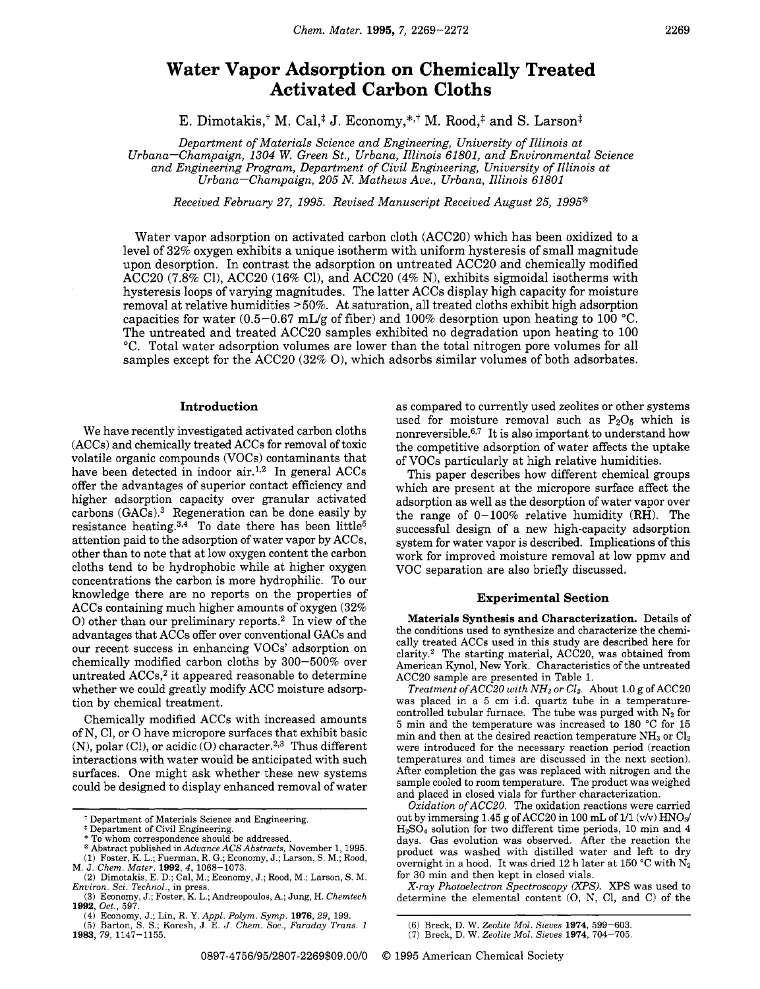# **Water Vapor Adsorption on Chemically Treated Activated Carbon Cloths**

E. Dimotakis,<sup>†</sup> M. Cal,<sup>‡</sup> J. Economy,\*<sup>\*,†</sup> M. Rood,<sup>‡</sup> and S. Larson<sup>‡</sup>

*Department of Materials Science and Engineering, University of Illinois at Urbana-Champaign, 1304 W. Green St., Urbana, Illinois 61801, and Environmental Science and Engineering Program, Department of Civil Engineering, University of Illinois at Urbana-Champaign, 205 N. Mathews Ave., Urbana, Illinois 61801* 

*Received February 27, 1995. Revised Manuscript Received August 25, 1995@* 

Water vapor adsorption on activated carbon cloth (ACC20) which has been oxidized to a level of 32% oxygen exhibits a unique isotherm with uniform hysteresis of small magnitude upon desorption. In contrast the adsorption on untreated ACC20 and chemically modified ACCBO (7.8% Cl), ACCBO (16% Cl), and ACCBO **(4%** N), exhibits sigmoidal isotherms with hysteresis loops of varying magnitudes. The latter ACCs display high capacity for moisture removal at relative humidities **>50%.** At saturation, all treated cloths exhibit high adsorption capacities for water (0.5-0.67 mL/g of fiber) and 100% desorption upon heating to 100 °C. The untreated and treated ACC20 samples exhibited no degradation upon heating to 100 *"C.* Total water adsorption volumes are lower than the total nitrogen pore volumes for all samples except for the ACC2O **(32%** 01, which adsorbs similar volumes of both adsorbates.

## **Introduction**

We have recently investigated activated carbon cloths (ACCs) and chemically treated ACCs for removal of toxic volatile organic compounds (VOCs) contaminants that have been detected in indoor air.<sup>1,2</sup> In general ACCs offer the advantages of superior contact efficiency and higher adsorption capacity over granular activated carbons  $(GACs).<sup>3</sup>$  Regeneration can be done easily by resistance heating. $3,4$  To date there has been little<sup>5</sup> attention paid to the adsorption of water vapor by ACCs, other than to note that at low oxygen content the carbon cloths tend to be hydrophobic while at higher oxygen concentrations the carbon is more hydrophilic. To our knowledge there are no reports on the properties of ACCs containing much higher amounts of oxygen (32% *0)* other than our preliminary reports.2 In view of the advantages that ACCs offer over conventional GACs and our recent success in enhancing VOCs' adsorption on chemically modified carbon cloths by 300-500% over untreated  $ACCs$ ,<sup>2</sup> it appeared reasonable to determine whether we could greatly modify ACC moisture adsorption by chemical treatment.

Chemically modified ACCs with increased amounts of N, C1, or 0 have micropore surfaces that exhibit basic (N), polar  $(Cl)$ , or acidic  $(O)$  character.<sup>2,3</sup> Thus different interactions with water would be anticipated with such surfaces. One might ask whether these new systems could be designed to display enhanced removal of water

as compared to currently used zeolites or other systems used for moisture removal such as  $P_2O_5$  which is nonreversible.637 It is also important to understand how the competitive adsorption of water affects the uptake of VOCs particularly at high relative humidities.

This paper describes how different chemical groups which are present at the micropore surface affect the adsorption as well as the desorption of water vapor over the range of 0-100% relative humidity **(RH).** The successful design of a new high-capacity adsorption system for water vapor is described. Implications of this work for improved moisture removal at low ppmv and VOC separation are also briefly discussed.

#### **Experimental Section**

**Materials Synthesis and Characterization.** Details of the conditions used to synthesize and characterize the chemically treated ACCs used in this study are described here for clarity.2 The starting material, ACC20, was obtained from American Kynol, New York. Characteristics of the untreated ACC2O sample are presented in Table 1.

*Treatment of ACC20 with NH<sub>3</sub> or Cl<sub>2</sub>. About 1.0 g of ACC20* was placed in a **5** cm i.d. quartz tube in a temperaturecontrolled tubular furnace. The tube was purged with  $N_2$  for **5** min and the temperature was increased to 180 "C for **15**  min and then at the desired reaction temperature  $NH<sub>3</sub>$  or  $Cl<sub>2</sub>$ were introduced for the necessary reaction period (reaction temperatures and times are discussed in the next section). After completion the gas was replaced with nitrogen and the sample cooled to room temperature. The product was weighed and placed in closed vials for further characterization.

*Oxidation ofACCZ0.* The oxidation reactions were carried out by immersing 1.45 g of ACC20 in 100 mL of 1/1  $(v/v)$  HNO<sub>3</sub>/ HzS04 solution for two different time periods, 10 min and **4**  days. Gas evolution was observed. After the reaction the product was washed with distilled water and left to dry overnight in a hood. It was dried 12 h later at 150 °C with N<sub>2</sub> for **30** min and then kept in closed vials.

*X-ray Photoelectron Spectroscopy (XPS). XPS* was used to determine the elemental content (0, N, C1, and C) of the

Department of Materials Science and Engineering. **i** Department of Civil Engineering. \* To whom correspondence should be addressed.

<sup>@</sup> Abstract published in *Advance ACS Abstracts,* November *1,* 1995.

**<sup>(1)</sup>** Foster, K. L.; Fuerman, R. G.; Economy, J.; Larson, S. M.; Rood, M. J. *Chem. Mater.* **1992,4, 1068-1073. (2)** Dimotakis, E. D.; Cal, M.; Economy, J.; Rood, M.; Larson, S. M.

*Environ. Sci. Technol.,* in press.

<sup>(3)</sup> Economy, J.; Foster, K. L.; Andreopoulos, A,; Jung, H. *Chemtech*  **1992,** *Oct.,* 597.

**<sup>(4)</sup>** Economy, *J.;* Lin, R. *Y. Appl. Polym. Symp.* **1976,29,** 199. (5) Barton, S. S.; Koresh, J. E. *J. Chem.* SOC., *Faraday Trans. <sup>1</sup>* **1983, 79,** 1147-1155.

<sup>(6)</sup> Breck, D. W. *Zeolite Mol. Sieves* **1974,** 599-603.

<sup>(7)</sup> Breck, D. W. *Zeolite Mol. Sieves* **1974,** 704-705.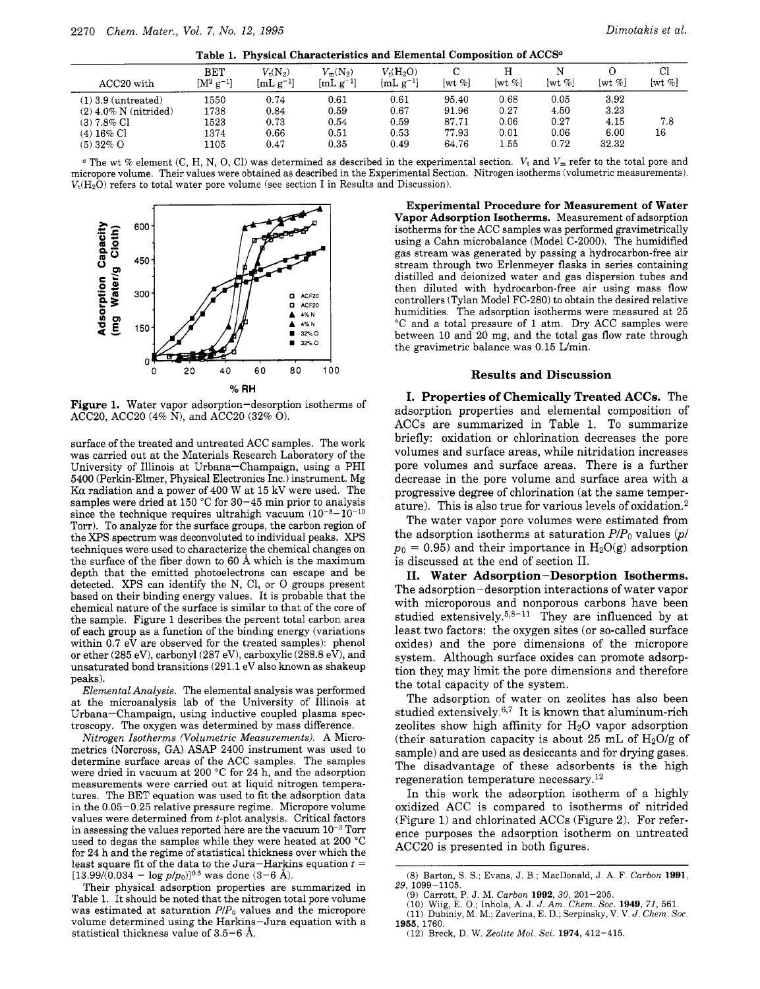|  | Dimotakis e |  |
|--|-------------|--|
|  |             |  |

| ACC <sub>20</sub> with                                                                           | <b>BET</b><br>$\rm [M^2~g^{-1}]$     | $V_{\rm t}({\rm N_2})$<br>$[mL g^{-1}]$ | $V_{\rm m}(N_2)$<br>$[mL g^{-1}]$    | $V_t(H_2O)$<br>$[{\rm mL~g^{-1}}]$   | [wt $\%$ ]                                | $[wt \%]$                            | [wt %]                               | [wt %]                                | Cl<br>$[wt \%]$ |
|--------------------------------------------------------------------------------------------------|--------------------------------------|-----------------------------------------|--------------------------------------|--------------------------------------|-------------------------------------------|--------------------------------------|--------------------------------------|---------------------------------------|-----------------|
| $(1)$ 3.9 (untreated)<br>$(2)$ 4.0% N (nitrided)<br>$(3)$ 7.8% Cl<br>$(4)$ 16% Cl<br>$(5)$ 32% O | 1550<br>1738<br>1523<br>1374<br>1105 | 0.74<br>0.84<br>0.73<br>0.66<br>0.47    | 0.61<br>0.59<br>0.54<br>0.51<br>0.35 | 0.61<br>0.67<br>0.59<br>0.53<br>0.49 | 95.40<br>91.96<br>87.71<br>77.93<br>64.76 | 0.68<br>0.27<br>0.06<br>0.01<br>1.55 | 0.05<br>4.50<br>0.27<br>0.06<br>0.72 | 3.92<br>3.23<br>4.15<br>6.00<br>32.32 | 7.8<br>16       |

<sup>*a*</sup> The wt % element (C, H, N, O, Cl) was determined as described in the experimental section.  $V_t$  and  $V_m$  refer to the total pore and micropore volume. Their values were obtained as described in the Experimental Section. Nitrogen isotherms (volumetric measurements).  $V_t(H_2O)$  refers to total water pore volume (see section I in Results and Discussion).



**Figure 1.** Water vapor adsorption-desorption isotherms of ACC20, ACC2O (4% N), and ACC2O **(32%** 0).

surface of the treated and untreated ACC samples. The work was carried out at the Materials Research Laboratory of the University of Illinois at Urbana-Champaign, using a PHI 5400 (Perkin-Elmer, Physical Electronics Inc.) instrument. Mg Ka radiation and a power of 400 W at 15 kV were used. The samples were dried at 150 °C for 30-45 min prior to analysis since the technique requires ultrahigh vacuum  $(10^{-8}-10^{-10})$ Torr). To analyze for the surface groups, the carbon region of the *XPS* spectrum was deconvoluted to individual peaks. *XPS*  techniques were used to characterize the chemical changes on the surface of the fiber down to 60 A which is the maximum depth that the emitted photoelectrons can escape and be detected. *XPS* can identify the N, C1, or 0 groups present based on their binding energy values. It is probable that the chemical nature of the surface is similar to that of the core of the sample. Figure 1 describes the percent total carbon area of each group as a function of the binding energy (variations within  $0.7$  eV are observed for the treated samples): phenol or ether (285 eV), carbonyl (287 eV), carboxylic (288.8 eV), and unsaturated bond transitions (291.1 eV also known as shakeup peaks).

*Elemental Analysis.* The elemental analysis was performed at the microanalysis lab of the University of Illinois at Urbana-Champaign, using inductive coupled plasma spectroscopy. The oxygen was determined by mass difference.

*Nitrogen Isotherms (Volumetric Measurements).* A Micrometrics (Norcross, GA) ASAP 2400 instrument was used to determine surface areas of the ACC samples. The samples were dried in vacuum at 200 "C for 24 h, and the adsorption measurements were carried out at liquid nitrogen temperatures. The BET equation was used to fit the adsorption data in the 0.05-0.25 relative pressure regime. Micropore volume values were determined from t-plot analysis. Critical factors in assessing the values reported here are the vacuum  $10^{-3}$  Torr used to degas the samples while they were heated at 200 "C for 24 h and the regime of statistical thickness over which the least square fit of the data to the Jura-Harkins equation *t* =  $[13.99/(0.034 - \log p/p_0)]^{0.5}$  was done  $(3-6 \text{ Å})$ .

Their physical adsorption properties are summarized in Table 1. It should be noted that the nitrogen total pore volume was estimated at saturation  $P/P_0$  values and the micropore volume determined using the Harkins-Jura equation with a statistical thickness value of 3.5-6 A.

**Experimental Procedure for Measurement of Water Vapor Adsorption Isotherms.** Measurement of adsorption isotherms for the ACC samples was performed gravimetrically using a Cahn microbalance (Model C-2000). The humidified gas stream was generated by passing a hydrocarbon-free air stream through two Erlenmeyer flasks in series containing distilled and deionized water and gas dispersion tubes and then diluted with hydrocarbon-free air using mass flow controllers (Tylan Model FC-280) to obtain the desired relative humidities. The adsorption isotherms were measured at 25 "C and a total pressure of 1 atm. Dry ACC samples were between 10 and 20 mg, and the total gas flow rate through the gravimetric balance was 0.15 Umin.

## **Results and Discussion**

**I. Properties of Chemically Treated ACCs.** The adsorption properties and elemental composition of ACCs are summarized in Table 1. To summarize briefly: oxidation or chlorination decreases the pore volumes and surface areas, while nitridation increases pore volumes and surface areas. There is a further decrease in the pore volume and surface area with a progressive degree of chlorination (at the same temperature). This is also true for various levels of oxidation.2

The water vapor pore volumes were estimated from the adsorption isotherms at saturation  $P/P_0$  values  $(p/$  $p_0 = 0.95$ ) and their importance in  $H_2O(g)$  adsorption is discussed at the end of section 11.

**11. Water Adsorption-Desorption Isotherms.**  The adsorption-desorption interactions of water vapor with microporous and nonporous carbons have been studied extensively.<sup>5,8-11</sup> They are influenced by at least two factors: the oxygen sites (or so-called surface oxides) and the pore dimensions of the micropore system. Although surface oxides can promote adsorption they may limit the pore dimensions and therefore the total capacity of the system.

The adsorption of water on zeolites has also been studied extensively. $6,7~$  It is known that aluminum-rich zeolites show high affinity for  $H_2O$  vapor adsorption (their saturation capacity is about 25 mL of  $H_2O/g$  of sample) and are used as desiccants and for drying gases. The disadvantage of these adsorbents is the high regeneration temperature necessary.12

In this work the adsorption isotherm of a highly oxidized ACC is compared to isotherms of nitrided (Figure 1) and chlorinated ACCs (Figure 2). For reference purposes the adsorption isotherm on untreated ACC2O is presented in both figures.

(12) Breck, D. W. *Zeolite Mol. Sci.* **1974,** 412-415

<sup>(8)</sup> Barton, S. S.; Evans, J. B.; MacDonald, J. **A.** F. *Carbon* **1991, 29,** 1099-1105.

<sup>(9)</sup> Carrott, P. J. M. *Carbon* **1992, 30,** 201-205.

<sup>(10)</sup> Wiig, E. *0.;* Inhola, **A.** J. *J. Am. Chem.* **SOC. 1949,** *71,* 561. (11) Dubiniy, M. M.; Zaverina, E. D.; Serpinsky, V. V. *J. Chem. Soc.* **1965, 1760.**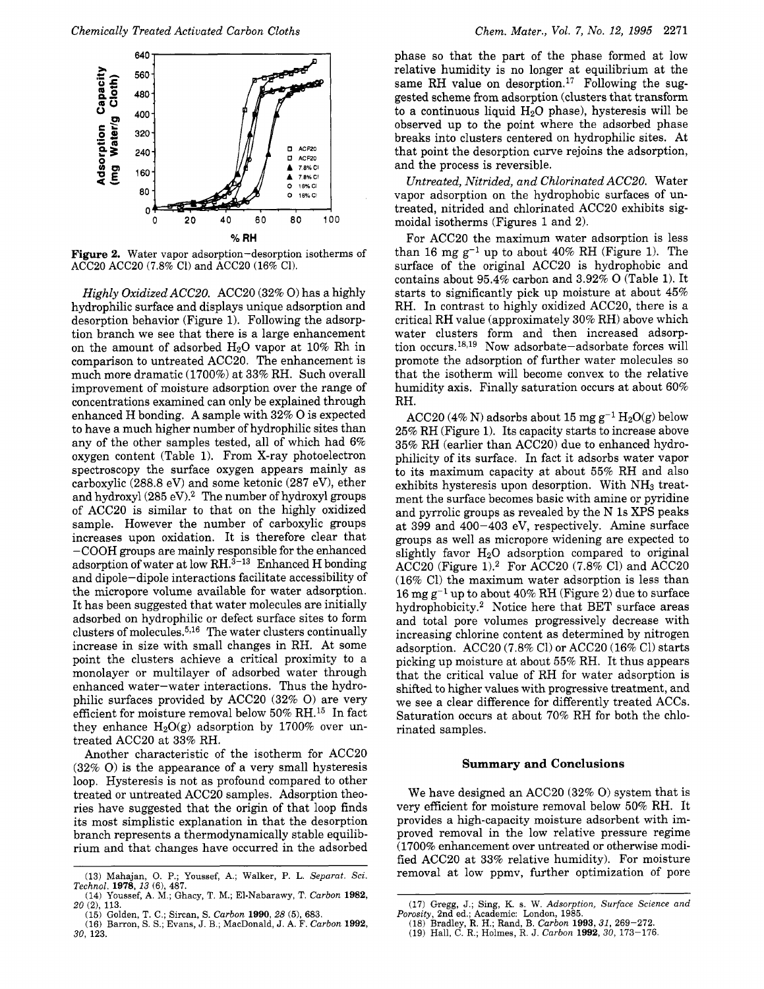

**Figure 2.** Water vapor adsorption-desorption isotherms of *ACCBO* ACCBO (7.8% C1) and *ACCBO* (16% Cl).

*Highly Oxidized ACC20.* ACC20 (32% O) has a highly hydrophilic surface and displays unique adsorption and desorption behavior (Figure 1). Following the adsorption branch we see that there is a large enhancement on the amount of adsorbed  $H_2O$  vapor at 10% Rh in comparison to untreated ACC20. The enhancement is much more dramatic (1700%) at 33% RH. Such overall improvement of moisture adsorption over the range of concentrations examined can only be explained through enhanced H bonding. A sample with 32% 0 is expected to have a much higher number of hydrophilic sites than any of the other samples tested, all of which had 6% oxygen content (Table 1). From X-ray photoelectron spectroscopy the surface oxygen appears mainly as carboxylic (288.8 eV) and some ketonic (287 eV), ether and hydroxyl (285 eV).<sup>2</sup> The number of hydroxyl groups of ACC2O is similar to that on the highly oxidized sample. However the number of carboxylic groups increases upon oxidation. It is therefore clear that -COOH groups are mainly responsible for the enhanced adsorption of water at low  $\text{RH}.^{3-13}$  Enhanced H bonding and dipole-dipole interactions facilitate accessibility of the micropore volume available for water adsorption. It has been suggested that water molecules are initially adsorbed on hydrophilic or defect surface sites to form clusters of molecules. $5,16$  The water clusters continually increase in size with small changes in RH. At some point the clusters achieve a critical proximity to a monolayer or multilayer of adsorbed water through enhanced water-water interactions. Thus the hydrophilic surfaces provided by ACC2O (32% 0) are very efficient for moisture removal below 50% RH.15 In fact they enhance  $H_2O(g)$  adsorption by 1700% over untreated ACC20 at 33% RH.

Another characteristic of the isotherm for ACC2O (32% *0)* is the appearance of a very small hysteresis loop. Hysteresis is not as profound compared to other treated or untreated ACC2O samples. Adsorption theories have suggested that the origin of that loop finds its most simplistic explanation in that the desorption branch represents a thermodynamically stable equilibrium and that changes have occurred in the adsorbed

*Chemically Treated Activated Carbon Cloths* Chem. Mater., Vol. 7, No. 12, 1995 2271 **Chem. Mater.**, Vol. 7, No. 12, 1995 2271 **phase** so that the part of the phase formed at low phase so that the part of the phase formed at low relative humidity is no longer at equilibrium at the same RH value on desorption.<sup>17</sup> Following the suggested scheme from adsorption (clusters that transform to a continuous liquid  $H_2O$  phase), hysteresis will be observed up to the point where the adsorbed phase breaks into clusters centered on hydrophilic sites. At that point the desorption curve rejoins the adsorption, and the process is reversible.

> *Untreated, Nitrided, and Chlorinated ACC20.* Water vapor adsorption on the hydrophobic surfaces of untreated, nitrided and chlorinated ACC2O exhibits sigmoidal isotherms (Figures 1 and 2).

> For ACC20 the maximum water adsorption is less than 16 mg  $g^{-1}$  up to about 40% RH (Figure 1). The surface of the original ACC2O is hydrophobic and contains about 95.4% carbon and 3.92% 0 (Table 1). It starts to significantly pick up moisture at about 45% RH. In contrast to highly oxidized ACC20, there is a critical RH value (approximately 30% RH) above which water clusters form and then increased adsorption occurs.<sup>18,19</sup> Now adsorbate-adsorbate forces will promote the adsorption of further water molecules so that the isotherm will become convex to the relative humidity axis. Finally saturation occurs at about 60% RH.

> ACC20 (4% N) adsorbs about 15 mg  $g^{-1} H_2O(g)$  below 25% RH (Figure 1). Its capacity starts to increase above 35% RH (earlier than ACC20) due to enhanced hydrophilicity of its surface. In fact it adsorbs water vapor to its maximum capacity at about 55% RH and also exhibits hysteresis upon desorption. With NH<sub>3</sub> treatment the surface becomes basic with amine or pyridine and pyrrolic groups as revealed by the N 1s *XPS* peaks at 399 and 400-403 eV, respectively. Amine surface groups as well as micropore widening are expected to slightly favor  $H<sub>2</sub>O$  adsorption compared to original  $ACC20$  (Figure 1).<sup>2</sup> For ACC20 (7.8% Cl) and ACC20 (16% C1) the maximum water adsorption is less than 16 mg  $g^{-1}$  up to about 40% RH (Figure 2) due to surface hydrophobicity.2 Notice here that BET surface areas and total pore volumes progressively decrease with increasing chlorine content as determined by nitrogen adsorption. ACC2O (7.8% C1) or ACC2O (16% C1) starts picking up moisture at about **55%** RH. It thus appears that the critical value of RH for water adsorption is shifted to higher values with progressive treatment, and we see a clear difference for differently treated ACCs. Saturation occurs at about 70% RH for both the chlorinated samples.

#### **Summary and Conclusions**

We have designed an ACC2O (32% 0) system that is very efficient for moisture removal below 50% RH. It provides a high-capacity moisture adsorbent with improved removal in the low relative pressure regime (1700% enhancement over untreated or otherwise modified ACC2O at 33% relative humidity). For moisture removal at low ppmv, further optimization of pore

<sup>(13)</sup> Mahajan, 0. P.; Youssef, **A,;** Walker, P. L. *Separat. Sci. Technol.* **1978, 13** (61, **487.** 

<sup>(14)</sup> Youssef, **A.** M.; Ghacy, T. M.; El-Nabarawy, T. *Carbon* **1982, 20** (21, 113.

<sup>(15)</sup> Golden, T. *C.;* Sircan, S. *Carbon* **1990,** *28* **(5),** 683.

<sup>(16)</sup> Barron, S. S.; Evans, J. B.; MacDonald, J. **A.** F. *Carbon* **1992, 30,** 123.

<sup>(17)</sup> Gregg, J.; Sing, K. s. W. *Adsorption, Surface Science and Porosity,* 2nd ed.; Academic: London, 1985.

<sup>(18)</sup> Bradley, R. H.; Rand, B. *Carbon* **1993,31,** 269-272.

**<sup>(19)</sup>** Hall, *C.* R.; Holmes, R. J. *Carbon* **1992, 30,** 173-176.